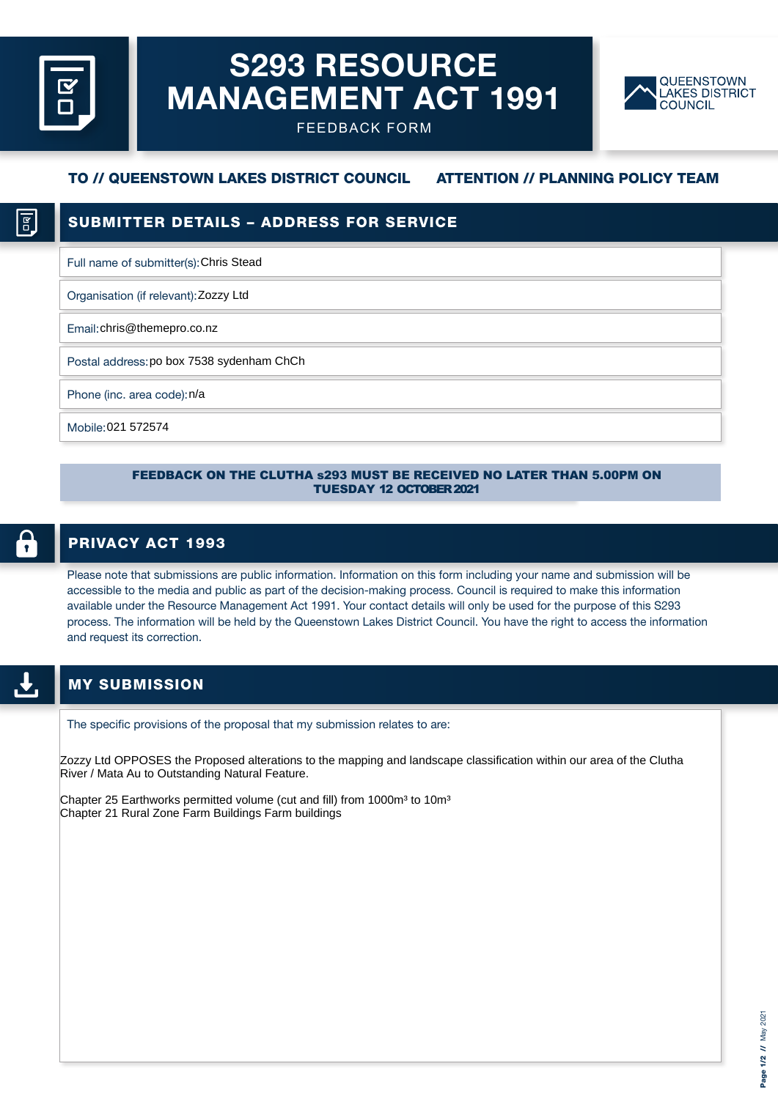# S293 RESOURCE MANAGEMENT ACT 1991



FEEDBACK FORM

# TO // QUEENSTOWN LAKES DISTRICT COUNCIL ATTENTION // PLANNING POLICY TEAM

# SUBMITTER DETAILS – ADDRESS FOR SERVICE

Full name of submitter(s): Chris Stead

Organisation (if relevant): Zozzy Ltd

Email: chris@themepro.co.nz

Postal address: po box 7538 sydenham ChCh

Phone (inc. area code): n/a

Mobile: 021 572574

### FEEDBACK ON THE CLUTHA s293 MUST BE RECEIVED NO LATER THAN 5.00PM ON TUESDAY 12 OCTOBER 2021

# PRIVACY ACT 1993

Please note that submissions are public information. Information on this form including your name and submission will be accessible to the media and public as part of the decision-making process. Council is required to make this information available under the Resource Management Act 1991. Your contact details will only be used for the purpose of this S293 process. The information will be held by the Queenstown Lakes District Council. You have the right to access the information and request its correction.

MY SUBMISSION

The specific provisions of the proposal that my submission relates to are:

Zozzy Ltd OPPOSES the Proposed alterations to the mapping and landscape classification within our area of the Clutha River / Mata Au to Outstanding Natural Feature.

Chapter 25 Earthworks permitted volume (cut and fill) from 1000m<sup>3</sup> to 10m<sup>3</sup> Chapter 21 Rural Zone Farm Buildings Farm buildings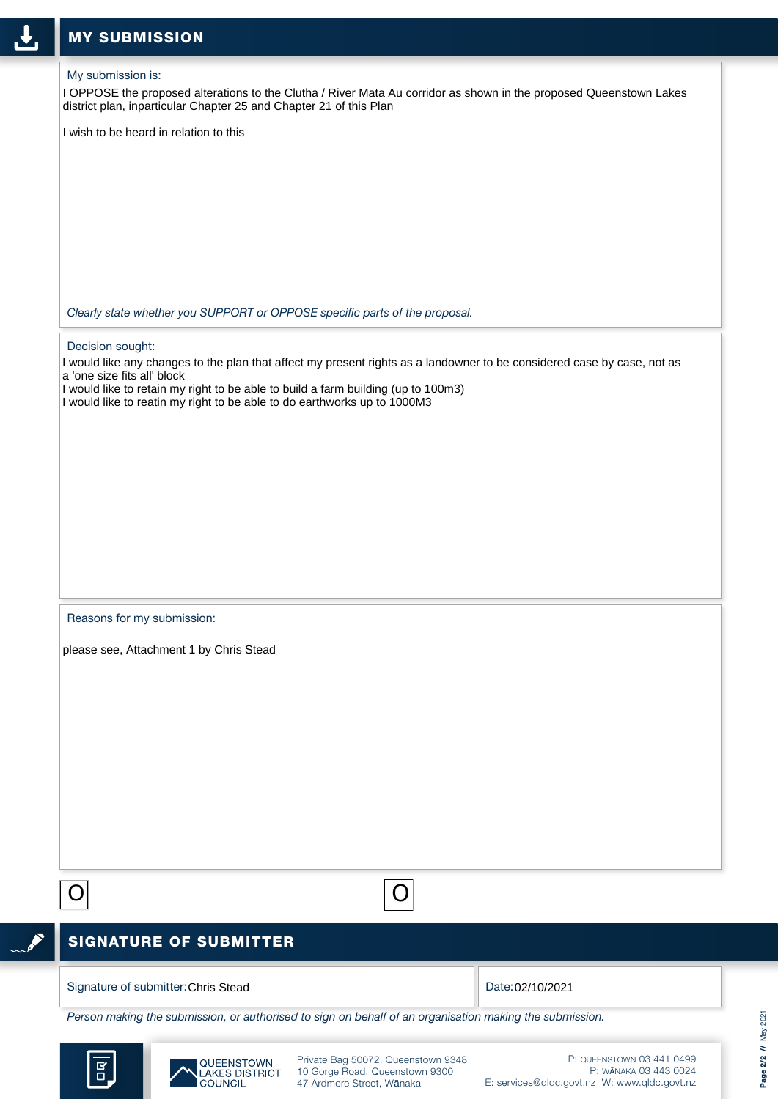### My submission is:

I OPPOSE the proposed alterations to the Clutha / River Mata Au corridor as shown in the proposed Queenstown Lakes district plan, inparticular Chapter 25 and Chapter 21 of this Plan

I wish to be heard in relation to this

*Clearly state whether you SUPPORT or OPPOSE specific parts of the proposal.*

#### Decision sought:

I would like any changes to the plan that affect my present rights as a landowner to be considered case by case, not as a 'one size fits all' block

I would like to retain my right to be able to build a farm building (up to 100m3)

I would like to reatin my right to be able to do earthworks up to 1000M3

#### Reasons for my submission:

please see, Attachment 1 by Chris Stead

# SIGNATURE OF SUBMITTER

### Signature of submitter: Chris Stead

Date: 02/10/2021

*Person making the submission, or authorised to sign on behalf of an organisation making the submission.*





 $\sum_{i=1}^{n}$ 

Private Bag 50072, Queenstown 9348 10 Gorge Road, Queenstown 9300 47 Ardmore Street, Wānaka

P: QUEENSTOWN 03 441 0499 P: WĀNAKA 03 443 0024 E: services@qldc.govt.nz W: www.qldc.govt.nz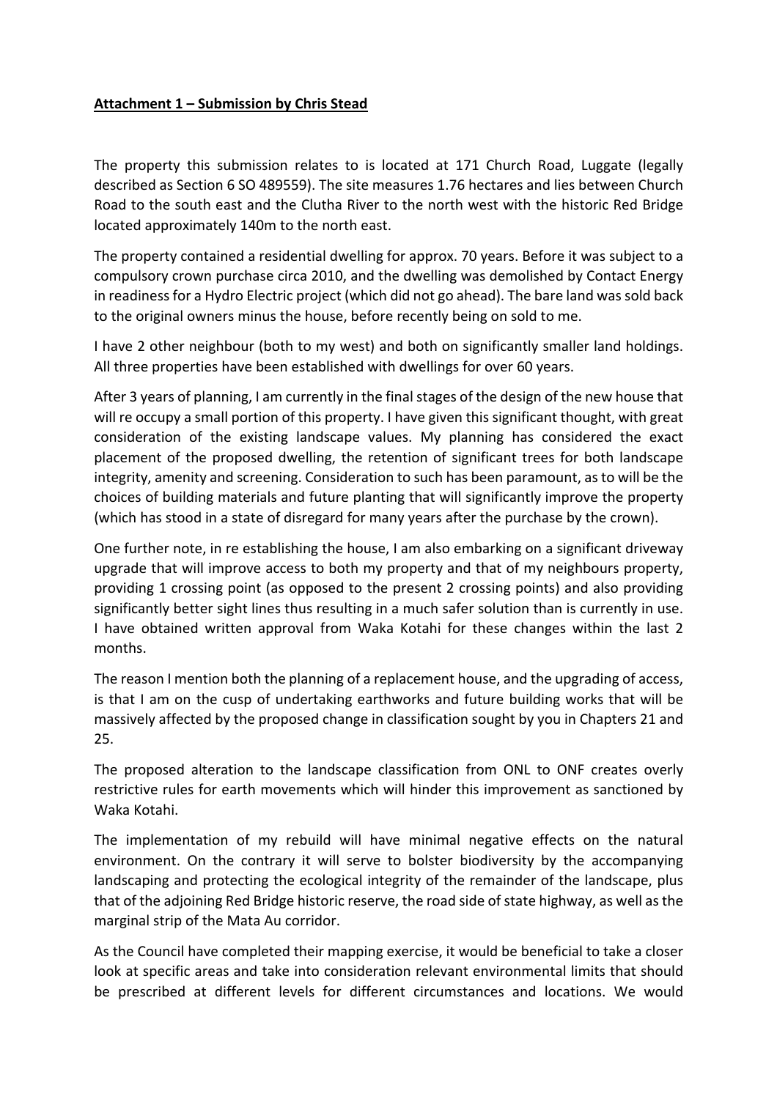# **Attachment 1 – Submission by Chris Stead**

The property this submission relates to is located at 171 Church Road, Luggate (legally described as Section 6 SO 489559). The site measures 1.76 hectares and lies between Church Road to the south east and the Clutha River to the north west with the historic Red Bridge located approximately 140m to the north east.

The property contained a residential dwelling for approx. 70 years. Before it was subject to a compulsory crown purchase circa 2010, and the dwelling was demolished by Contact Energy in readiness for a Hydro Electric project (which did not go ahead). The bare land was sold back to the original owners minus the house, before recently being on sold to me.

I have 2 other neighbour (both to my west) and both on significantly smaller land holdings. All three properties have been established with dwellings for over 60 years.

After 3 years of planning, I am currently in the final stages of the design of the new house that will re occupy a small portion of this property. I have given this significant thought, with great consideration of the existing landscape values. My planning has considered the exact placement of the proposed dwelling, the retention of significant trees for both landscape integrity, amenity and screening. Consideration to such has been paramount, as to will be the choices of building materials and future planting that will significantly improve the property (which has stood in a state of disregard for many years after the purchase by the crown).

One further note, in re establishing the house, I am also embarking on a significant driveway upgrade that will improve access to both my property and that of my neighbours property, providing 1 crossing point (as opposed to the present 2 crossing points) and also providing significantly better sight lines thus resulting in a much safer solution than is currently in use. I have obtained written approval from Waka Kotahi for these changes within the last 2 months.

The reason I mention both the planning of a replacement house, and the upgrading of access, is that I am on the cusp of undertaking earthworks and future building works that will be massively affected by the proposed change in classification sought by you in Chapters 21 and 25.

The proposed alteration to the landscape classification from ONL to ONF creates overly restrictive rules for earth movements which will hinder this improvement as sanctioned by Waka Kotahi.

The implementation of my rebuild will have minimal negative effects on the natural environment. On the contrary it will serve to bolster biodiversity by the accompanying landscaping and protecting the ecological integrity of the remainder of the landscape, plus that of the adjoining Red Bridge historic reserve, the road side of state highway, as well as the marginal strip of the Mata Au corridor.

As the Council have completed their mapping exercise, it would be beneficial to take a closer look at specific areas and take into consideration relevant environmental limits that should be prescribed at different levels for different circumstances and locations. We would